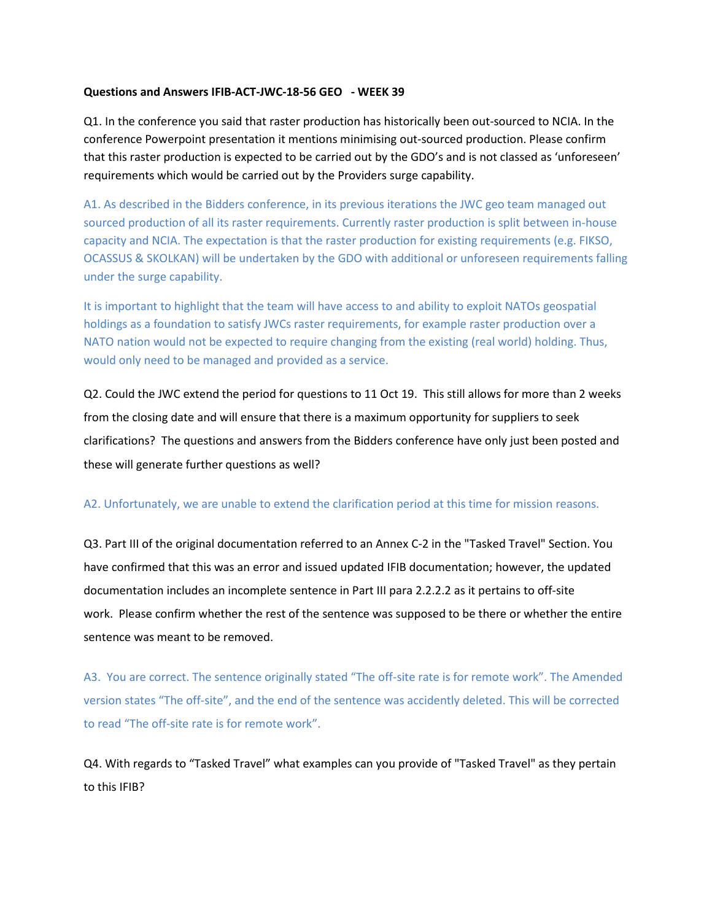## **Questions and Answers IFIB-ACT-JWC-18-56 GEO - WEEK 39**

Q1. In the conference you said that raster production has historically been out-sourced to NCIA. In the conference Powerpoint presentation it mentions minimising out-sourced production. Please confirm that this raster production is expected to be carried out by the GDO's and is not classed as 'unforeseen' requirements which would be carried out by the Providers surge capability.

A1. As described in the Bidders conference, in its previous iterations the JWC geo team managed out sourced production of all its raster requirements. Currently raster production is split between in-house capacity and NCIA. The expectation is that the raster production for existing requirements (e.g. FIKSO, OCASSUS & SKOLKAN) will be undertaken by the GDO with additional or unforeseen requirements falling under the surge capability.

It is important to highlight that the team will have access to and ability to exploit NATOs geospatial holdings as a foundation to satisfy JWCs raster requirements, for example raster production over a NATO nation would not be expected to require changing from the existing (real world) holding. Thus, would only need to be managed and provided as a service.

Q2. Could the JWC extend the period for questions to 11 Oct 19. This still allows for more than 2 weeks from the closing date and will ensure that there is a maximum opportunity for suppliers to seek clarifications? The questions and answers from the Bidders conference have only just been posted and these will generate further questions as well?

## A2. Unfortunately, we are unable to extend the clarification period at this time for mission reasons.

Q3. Part III of the original documentation referred to an Annex C-2 in the "Tasked Travel" Section. You have confirmed that this was an error and issued updated IFIB documentation; however, the updated documentation includes an incomplete sentence in Part III para 2.2.2.2 as it pertains to off-site work. Please confirm whether the rest of the sentence was supposed to be there or whether the entire sentence was meant to be removed.

A3. You are correct. The sentence originally stated "The off-site rate is for remote work". The Amended version states "The off-site", and the end of the sentence was accidently deleted. This will be corrected to read "The off-site rate is for remote work".

Q4. With regards to "Tasked Travel" what examples can you provide of "Tasked Travel" as they pertain to this IFIB?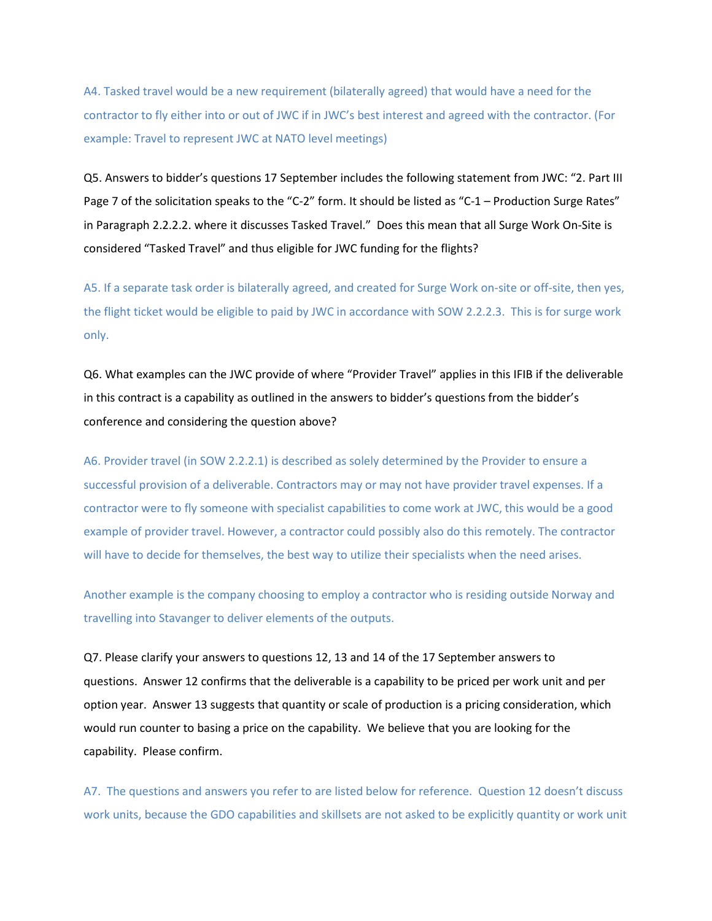A4. Tasked travel would be a new requirement (bilaterally agreed) that would have a need for the contractor to fly either into or out of JWC if in JWC's best interest and agreed with the contractor. (For example: Travel to represent JWC at NATO level meetings)

Q5. Answers to bidder's questions 17 September includes the following statement from JWC: "2. Part III Page 7 of the solicitation speaks to the "C-2" form. It should be listed as "C-1 – Production Surge Rates" in Paragraph 2.2.2.2. where it discusses Tasked Travel." Does this mean that all Surge Work On-Site is considered "Tasked Travel" and thus eligible for JWC funding for the flights?

A5. If a separate task order is bilaterally agreed, and created for Surge Work on-site or off-site, then yes, the flight ticket would be eligible to paid by JWC in accordance with SOW 2.2.2.3. This is for surge work only.

Q6. What examples can the JWC provide of where "Provider Travel" applies in this IFIB if the deliverable in this contract is a capability as outlined in the answers to bidder's questions from the bidder's conference and considering the question above?

A6. Provider travel (in SOW 2.2.2.1) is described as solely determined by the Provider to ensure a successful provision of a deliverable. Contractors may or may not have provider travel expenses. If a contractor were to fly someone with specialist capabilities to come work at JWC, this would be a good example of provider travel. However, a contractor could possibly also do this remotely. The contractor will have to decide for themselves, the best way to utilize their specialists when the need arises.

Another example is the company choosing to employ a contractor who is residing outside Norway and travelling into Stavanger to deliver elements of the outputs.

Q7. Please clarify your answers to questions 12, 13 and 14 of the 17 September answers to questions. Answer 12 confirms that the deliverable is a capability to be priced per work unit and per option year. Answer 13 suggests that quantity or scale of production is a pricing consideration, which would run counter to basing a price on the capability. We believe that you are looking for the capability. Please confirm.

A7. The questions and answers you refer to are listed below for reference. Question 12 doesn't discuss work units, because the GDO capabilities and skillsets are not asked to be explicitly quantity or work unit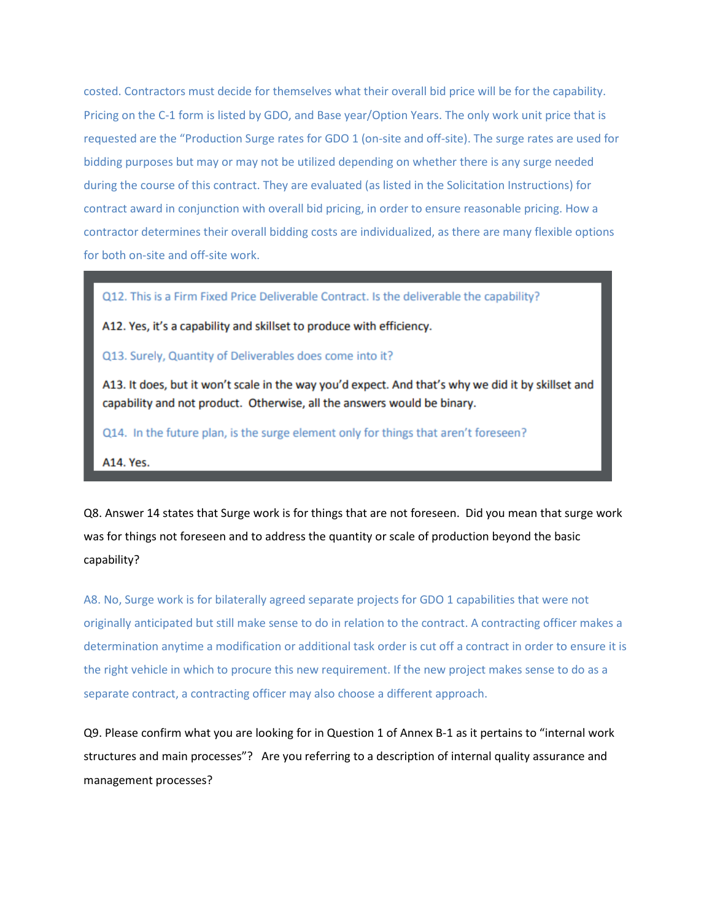costed. Contractors must decide for themselves what their overall bid price will be for the capability. Pricing on the C-1 form is listed by GDO, and Base year/Option Years. The only work unit price that is requested are the "Production Surge rates for GDO 1 (on-site and off-site). The surge rates are used for bidding purposes but may or may not be utilized depending on whether there is any surge needed during the course of this contract. They are evaluated (as listed in the Solicitation Instructions) for contract award in conjunction with overall bid pricing, in order to ensure reasonable pricing. How a contractor determines their overall bidding costs are individualized, as there are many flexible options for both on-site and off-site work.

Q12. This is a Firm Fixed Price Deliverable Contract. Is the deliverable the capability?

A12. Yes, it's a capability and skillset to produce with efficiency.

Q13. Surely, Quantity of Deliverables does come into it?

A13. It does, but it won't scale in the way you'd expect. And that's why we did it by skillset and capability and not product. Otherwise, all the answers would be binary.

Q14. In the future plan, is the surge element only for things that aren't foreseen?

A14. Yes.

Q8. Answer 14 states that Surge work is for things that are not foreseen. Did you mean that surge work was for things not foreseen and to address the quantity or scale of production beyond the basic capability?

A8. No, Surge work is for bilaterally agreed separate projects for GDO 1 capabilities that were not originally anticipated but still make sense to do in relation to the contract. A contracting officer makes a determination anytime a modification or additional task order is cut off a contract in order to ensure it is the right vehicle in which to procure this new requirement. If the new project makes sense to do as a separate contract, a contracting officer may also choose a different approach.

Q9. Please confirm what you are looking for in Question 1 of Annex B-1 as it pertains to "internal work structures and main processes"? Are you referring to a description of internal quality assurance and management processes?